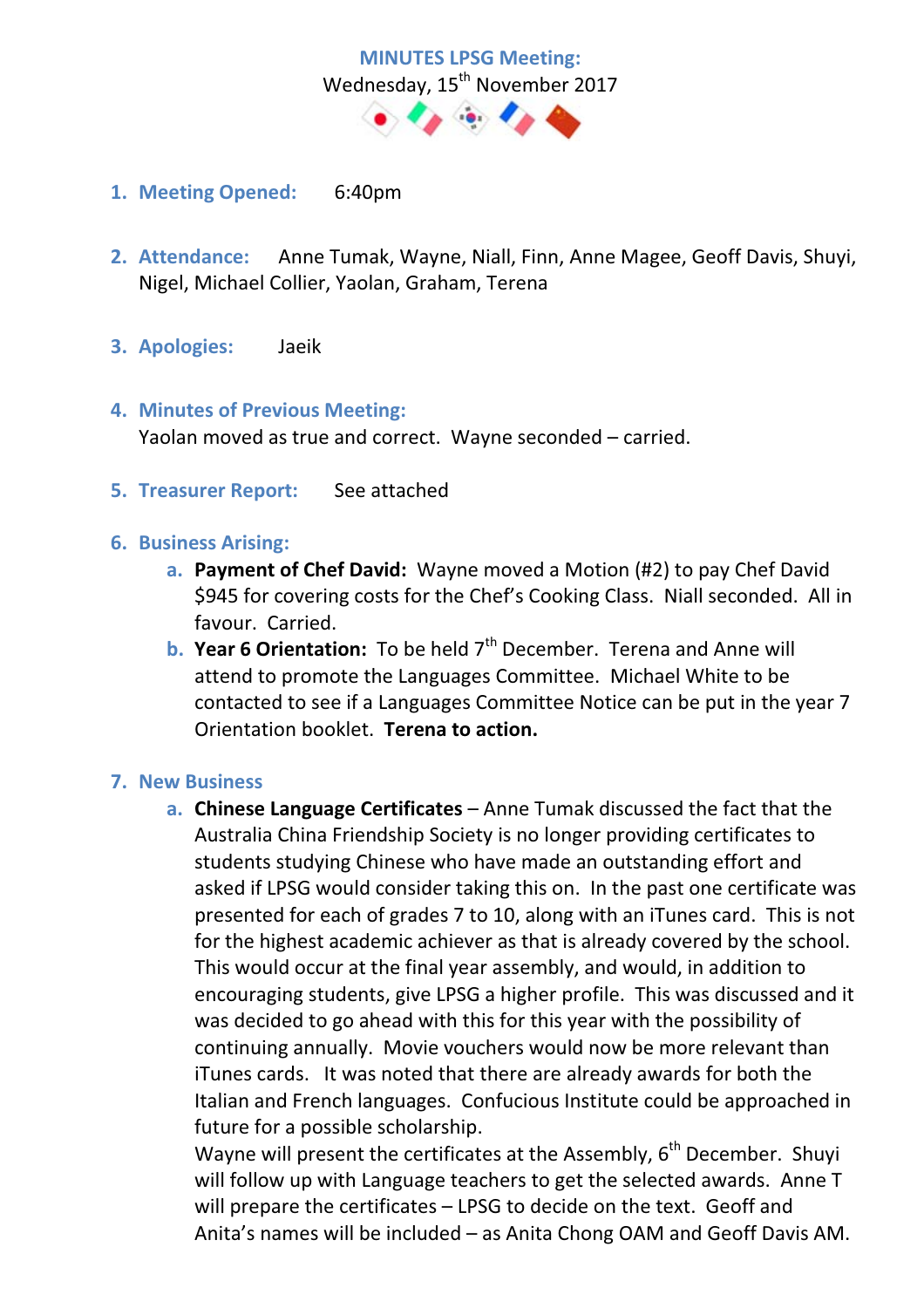

- **1. Meeting Opened:** 6:40pm
- **2. Attendance:** Anne Tumak, Wayne, Niall, Finn, Anne Magee, Geoff Davis, Shuyi, Nigel, Michael Collier, Yaolan, Graham, Terena
- **3. Apologies:** Jaeik
- **4. Minutes of Previous Meeting:**  Yaolan moved as true and correct. Wayne seconded – carried.
- **5. Treasurer Report:** See attached

#### **6. Business Arising:**

- **a. Payment of Chef David:** Wayne moved a Motion (#2) to pay Chef David \$945 for covering costs for the Chef's Cooking Class. Niall seconded. All in favour. Carried.
- **b.** Year 6 Orientation: To be held 7<sup>th</sup> December. Terena and Anne will attend to promote the Languages Committee. Michael White to be contacted to see if a Languages Committee Notice can be put in the year 7 Orientation booklet. **Terena to action.**

#### **7. New Business**

**a. Chinese Language Certificates** – Anne Tumak discussed the fact that the Australia China Friendship Society is no longer providing certificates to students studying Chinese who have made an outstanding effort and asked if LPSG would consider taking this on. In the past one certificate was presented for each of grades 7 to 10, along with an iTunes card. This is not for the highest academic achiever as that is already covered by the school. This would occur at the final year assembly, and would, in addition to encouraging students, give LPSG a higher profile. This was discussed and it was decided to go ahead with this for this year with the possibility of continuing annually. Movie vouchers would now be more relevant than iTunes cards. It was noted that there are already awards for both the Italian and French languages. Confucious Institute could be approached in future for a possible scholarship.

Wayne will present the certificates at the Assembly,  $6<sup>th</sup>$  December. Shuyi will follow up with Language teachers to get the selected awards. Anne T will prepare the certificates – LPSG to decide on the text. Geoff and Anita's names will be included – as Anita Chong OAM and Geoff Davis AM.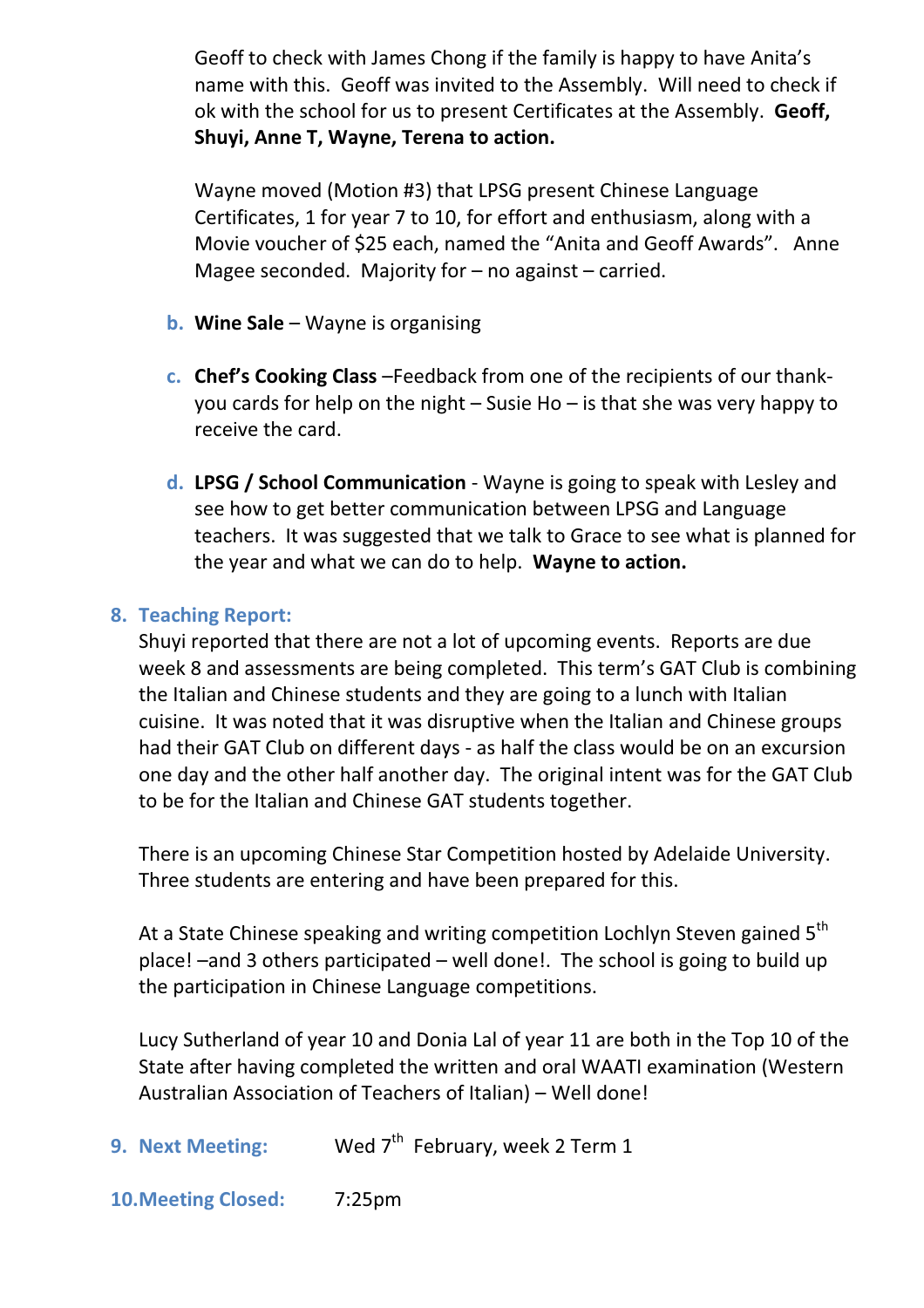Geoff to check with James Chong if the family is happy to have Anita's name with this. Geoff was invited to the Assembly. Will need to check if ok with the school for us to present Certificates at the Assembly. **Geoff, Shuyi, Anne T, Wayne, Terena to action.** 

Wayne moved (Motion #3) that LPSG present Chinese Language Certificates, 1 for year 7 to 10, for effort and enthusiasm, along with a Movie voucher of \$25 each, named the "Anita and Geoff Awards". Anne Magee seconded. Majority for  $-$  no against  $-$  carried.

- **b. Wine Sale** Wayne is organising
- **c. Chef's Cooking Class** –Feedback from one of the recipients of our thankyou cards for help on the night – Susie Ho – is that she was very happy to receive the card.
- **d. LPSG / School Communication** Wayne is going to speak with Lesley and see how to get better communication between LPSG and Language teachers. It was suggested that we talk to Grace to see what is planned for the year and what we can do to help. **Wayne to action.**

## **8. Teaching Report:**

Shuyi reported that there are not a lot of upcoming events. Reports are due week 8 and assessments are being completed. This term's GAT Club is combining the Italian and Chinese students and they are going to a lunch with Italian cuisine. It was noted that it was disruptive when the Italian and Chinese groups had their GAT Club on different days - as half the class would be on an excursion one day and the other half another day. The original intent was for the GAT Club to be for the Italian and Chinese GAT students together.

There is an upcoming Chinese Star Competition hosted by Adelaide University. Three students are entering and have been prepared for this.

At a State Chinese speaking and writing competition Lochlyn Steven gained 5<sup>th</sup> place! –and 3 others participated – well done!. The school is going to build up the participation in Chinese Language competitions.

Lucy Sutherland of year 10 and Donia Lal of year 11 are both in the Top 10 of the State after having completed the written and oral WAATI examination (Western Australian Association of Teachers of Italian) – Well done!

**9. Next Meeting:** Wed 7<sup>th</sup> February, week 2 Term 1

**10.Meeting Closed:** 7:25pm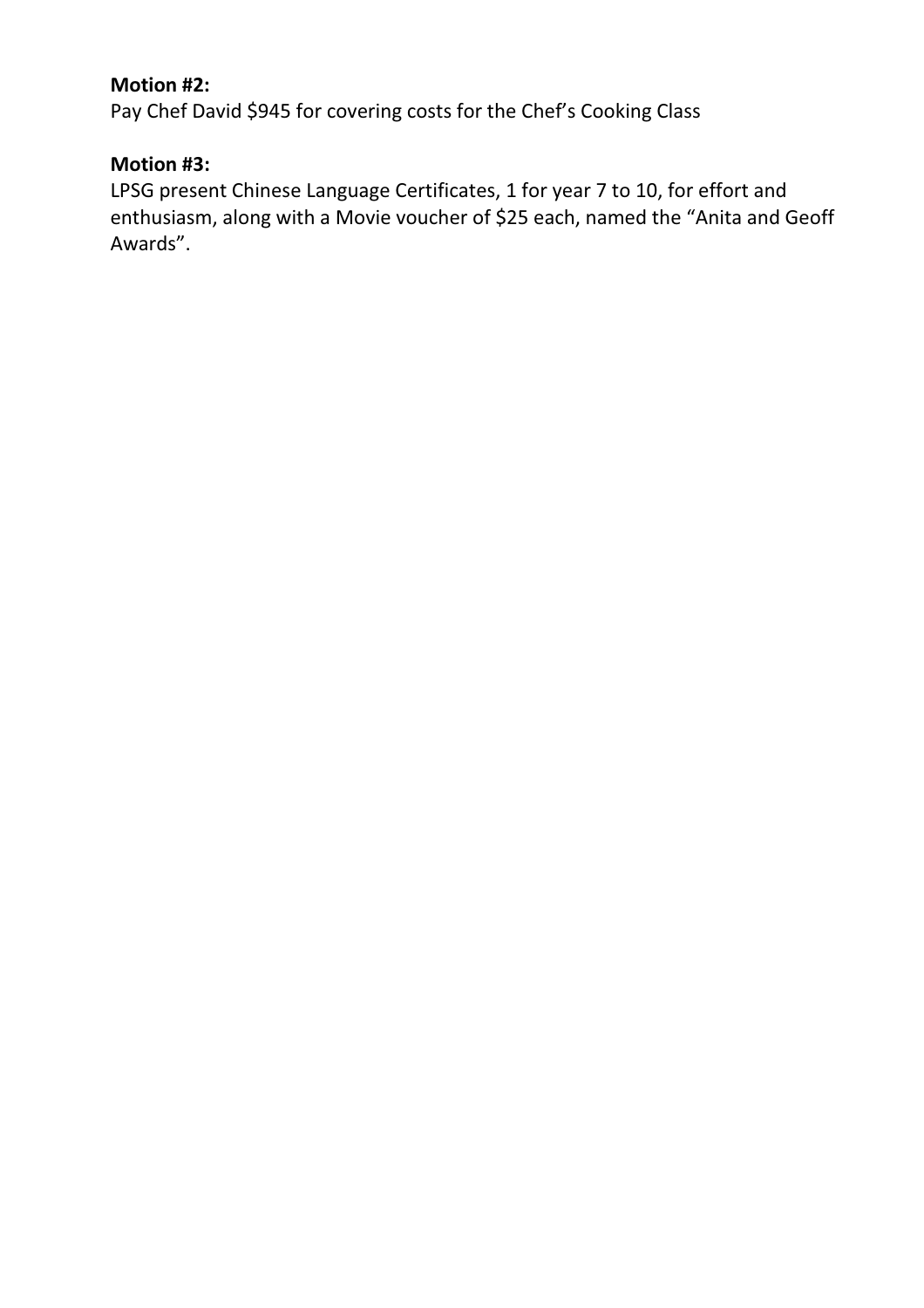## **Motion #2:**

Pay Chef David \$945 for covering costs for the Chef's Cooking Class

# **Motion #3:**

LPSG present Chinese Language Certificates, 1 for year 7 to 10, for effort and enthusiasm, along with a Movie voucher of \$25 each, named the "Anita and Geoff Awards".